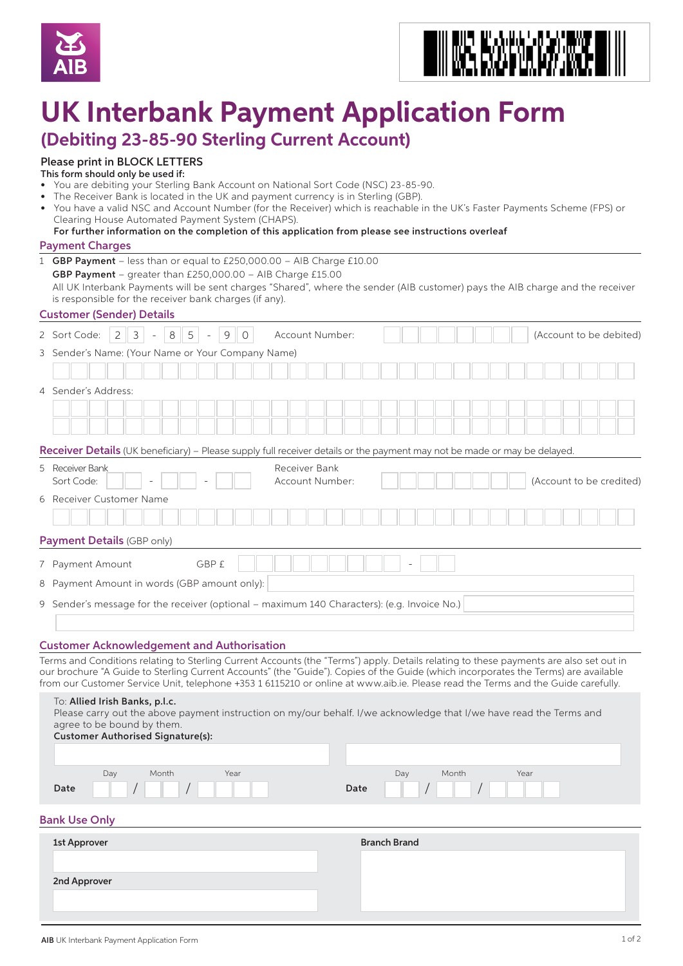



# **UK Interbank Payment Application Form**

## **(Debiting 23-85-90 Sterling Current Account)**

### Please print in BLOCK LETTERS

- This form should only be used if:
- You are debiting your Sterling Bank Account on National Sort Code (NSC) 23-85-90.
- The Receiver Bank is located in the UK and payment currency is in Sterling (GBP). • You have a valid NSC and Account Number (for the Receiver) which is reachable in the UK's Faster Payments Scheme (FPS) or Clearing House Automated Payment System (CHAPS). For further information on the completion of this application from please see instructions overleaf

#### Payment Charges

|                                                                                             | ayıncın ciki yes                                                                                                                                                                                                                                                                                                               |  |
|---------------------------------------------------------------------------------------------|--------------------------------------------------------------------------------------------------------------------------------------------------------------------------------------------------------------------------------------------------------------------------------------------------------------------------------|--|
|                                                                                             | 1 GBP Payment - less than or equal to £250,000.00 - AIB Charge £10.00<br>GBP Payment - greater than £250,000.00 - AIB Charge £15.00<br>All UK Interbank Payments will be sent charges "Shared", where the sender (AIB customer) pays the AIB charge and the receiver<br>is responsible for the receiver bank charges (if any). |  |
|                                                                                             | <b>Customer (Sender) Details</b>                                                                                                                                                                                                                                                                                               |  |
|                                                                                             | 5<br>$\overline{2}$<br>$\mathcal{S}$<br>$\,8\,$<br>9<br>$\circ$<br>2 Sort Code:<br>Account Number:<br>(Account to be debited)                                                                                                                                                                                                  |  |
|                                                                                             | 3 Sender's Name: (Your Name or Your Company Name)                                                                                                                                                                                                                                                                              |  |
|                                                                                             |                                                                                                                                                                                                                                                                                                                                |  |
|                                                                                             | 4 Sender's Address:                                                                                                                                                                                                                                                                                                            |  |
|                                                                                             |                                                                                                                                                                                                                                                                                                                                |  |
|                                                                                             |                                                                                                                                                                                                                                                                                                                                |  |
|                                                                                             | <b>Receiver Details</b> (UK beneficiary) – Please supply full receiver details or the payment may not be made or may be delayed.                                                                                                                                                                                               |  |
|                                                                                             | 5 Receiver Bank<br>Receiver Bank                                                                                                                                                                                                                                                                                               |  |
|                                                                                             | Sort Code:<br>Account Number:<br>(Account to be credited)                                                                                                                                                                                                                                                                      |  |
|                                                                                             | 6 Receiver Customer Name                                                                                                                                                                                                                                                                                                       |  |
|                                                                                             |                                                                                                                                                                                                                                                                                                                                |  |
|                                                                                             | Payment Details (GBP only)                                                                                                                                                                                                                                                                                                     |  |
|                                                                                             | GBP £<br>7 Payment Amount                                                                                                                                                                                                                                                                                                      |  |
|                                                                                             | 8 Payment Amount in words (GBP amount only):                                                                                                                                                                                                                                                                                   |  |
|                                                                                             |                                                                                                                                                                                                                                                                                                                                |  |
| 9 Sender's message for the receiver (optional – maximum 140 Characters): (e.g. Invoice No.) |                                                                                                                                                                                                                                                                                                                                |  |
|                                                                                             |                                                                                                                                                                                                                                                                                                                                |  |
|                                                                                             | <b>Customer Acknowledgement and Authorisation</b>                                                                                                                                                                                                                                                                              |  |
|                                                                                             | Terms and Conditions relating to Sterling Current Accounts (the "Terms") apply. Details relating to these payments are also set out in<br>our brochure "A Guide to Sterling Current Accounts" (the "Guide"). Copies of the Guide (which incorporates the Terms) are available                                                  |  |
|                                                                                             | from our Customer Service Unit, telephone +353 1 6115210 or online at www.aib.ie. Please read the Terms and the Guide carefully.                                                                                                                                                                                               |  |
|                                                                                             | To: Allied Irish Banks, p.l.c.<br>Please carry out the above payment instruction on my/our behalf. I/we acknowledge that I/we have read the Terms and<br>agree to be bound by them.<br><b>Customer Authorised Signature(s):</b>                                                                                                |  |
|                                                                                             |                                                                                                                                                                                                                                                                                                                                |  |

#### Bank Use Only

Date

| 1st Approver | <b>Branch Brand</b> |
|--------------|---------------------|
|              |                     |
| 2nd Approver |                     |
|              |                     |

Date

Day Month Year

Day Month Year / /